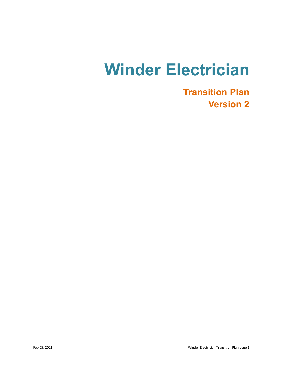# **Winder Electrician**

**Transition Plan Version 2**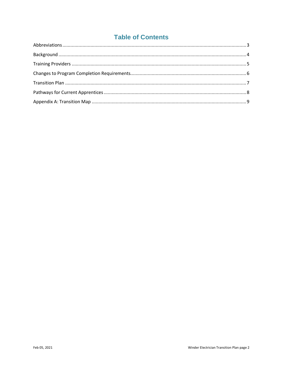## **Table of Contents**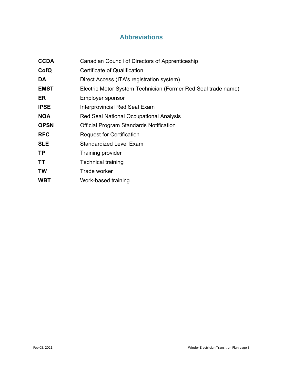## **Abbreviations**

<span id="page-2-0"></span>

| <b>CCDA</b> | Canadian Council of Directors of Apprenticeship               |
|-------------|---------------------------------------------------------------|
| CofQ        | <b>Certificate of Qualification</b>                           |
| DA          | Direct Access (ITA's registration system)                     |
| <b>EMST</b> | Electric Motor System Technician (Former Red Seal trade name) |
| ER          | <b>Employer sponsor</b>                                       |
| <b>IPSE</b> | Interprovincial Red Seal Exam                                 |
| <b>NOA</b>  | Red Seal National Occupational Analysis                       |
| <b>OPSN</b> | Official Program Standards Notification                       |
| <b>RFC</b>  | <b>Request for Certification</b>                              |
| <b>SLE</b>  | <b>Standardized Level Exam</b>                                |
| <b>TP</b>   | <b>Training provider</b>                                      |
| TT          | <b>Technical training</b>                                     |
| <b>TW</b>   | Trade worker                                                  |
| <b>WBT</b>  | Work-based training                                           |
|             |                                                               |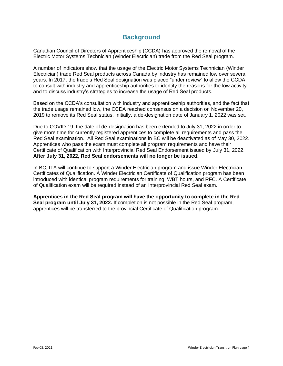#### **Background**

<span id="page-3-0"></span>Canadian Council of Directors of Apprenticeship (CCDA) has approved the removal of the Electric Motor Systems Technician (Winder Electrician) trade from the Red Seal program.

A number of indicators show that the usage of the Electric Motor Systems Technician (Winder Electrician) trade Red Seal products across Canada by industry has remained low over several years. In 2017, the trade's Red Seal designation was placed "under review" to allow the CCDA to consult with industry and apprenticeship authorities to identify the reasons for the low activity and to discuss industry's strategies to increase the usage of Red Seal products.

Based on the CCDA's consultation with industry and apprenticeship authorities, and the fact that the trade usage remained low, the CCDA reached consensus on a decision on November 20, 2019 to remove its Red Seal status. Initially, a de-designation date of January 1, 2022 was set.

Due to COVID-19, the date of de-designation has been extended to July 31, 2022 in order to give more time for currently registered apprentices to complete all requirements and pass the Red Seal examination. All Red Seal examinations in BC will be deactivated as of May 30, 2022. Apprentices who pass the exam must complete all program requirements and have their Certificate of Qualification with Interprovincial Red Seal Endorsement issued by July 31, 2022. **After July 31, 2022, Red Seal endorsements will no longer be issued.**

In BC, ITA will continue to support a Winder Electrician program and issue Winder Electrician Certificates of Qualification. A Winder Electrician Certificate of Qualification program has been introduced with identical program requirements for training, WBT hours, and RFC. A Certificate of Qualification exam will be required instead of an Interprovincial Red Seal exam.

**Apprentices in the Red Seal program will have the opportunity to complete in the Red Seal program until July 31, 2022.** If completion is not possible in the Red Seal program, apprentices will be transferred to the provincial Certificate of Qualification program.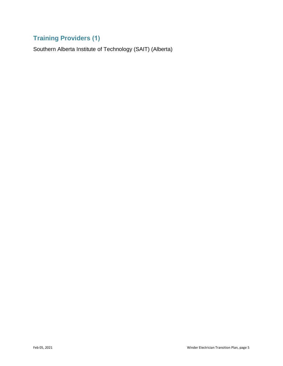# <span id="page-4-0"></span>**Training Providers (1)**

Southern Alberta Institute of Technology (SAIT) (Alberta)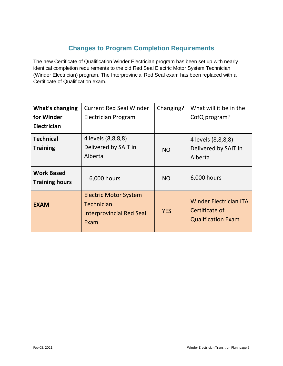### **Changes to Program Completion Requirements**

<span id="page-5-0"></span>The new Certificate of Qualification Winder Electrician program has been set up with nearly identical completion requirements to the old Red Seal Electric Motor System Technician (Winder Electrician) program. The Interprovincial Red Seal exam has been replaced with a Certificate of Qualification exam.

| What's changing<br>for Winder<br><b>Electrician</b> | <b>Current Red Seal Winder</b><br><b>Electrician Program</b>                          | Changing?  | What will it be in the<br>CofQ program?                                      |
|-----------------------------------------------------|---------------------------------------------------------------------------------------|------------|------------------------------------------------------------------------------|
| <b>Technical</b><br><b>Training</b>                 | 4 levels (8,8,8,8)<br>Delivered by SAIT in<br>Alberta                                 | <b>NO</b>  | 4 levels (8,8,8,8)<br>Delivered by SAIT in<br>Alberta                        |
| <b>Work Based</b><br><b>Training hours</b>          | 6,000 hours                                                                           | <b>NO</b>  | 6,000 hours                                                                  |
| <b>EXAM</b>                                         | <b>Electric Motor System</b><br>Technician<br><b>Interprovincial Red Seal</b><br>Exam | <b>YES</b> | <b>Winder Electrician ITA</b><br>Certificate of<br><b>Qualification Exam</b> |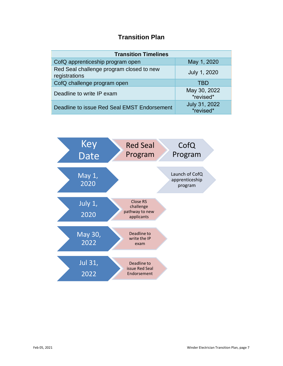## **Transition Plan**

<span id="page-6-0"></span>

| <b>Transition Timelines</b>                               |                            |  |  |  |
|-----------------------------------------------------------|----------------------------|--|--|--|
| CofQ apprenticeship program open                          | May 1, 2020                |  |  |  |
| Red Seal challenge program closed to new<br>registrations | July 1, 2020               |  |  |  |
| CofQ challenge program open                               | TBD                        |  |  |  |
| Deadline to write IP exam                                 | May 30, 2022<br>*revised*  |  |  |  |
| Deadline to issue Red Seal EMST Endorsement               | July 31, 2022<br>*revised* |  |  |  |

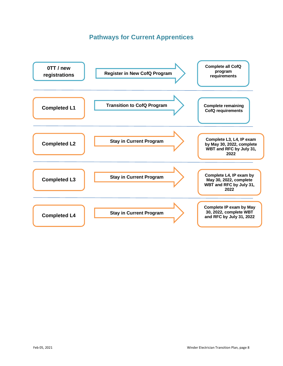#### **Pathways for Current Apprentices**

<span id="page-7-0"></span>